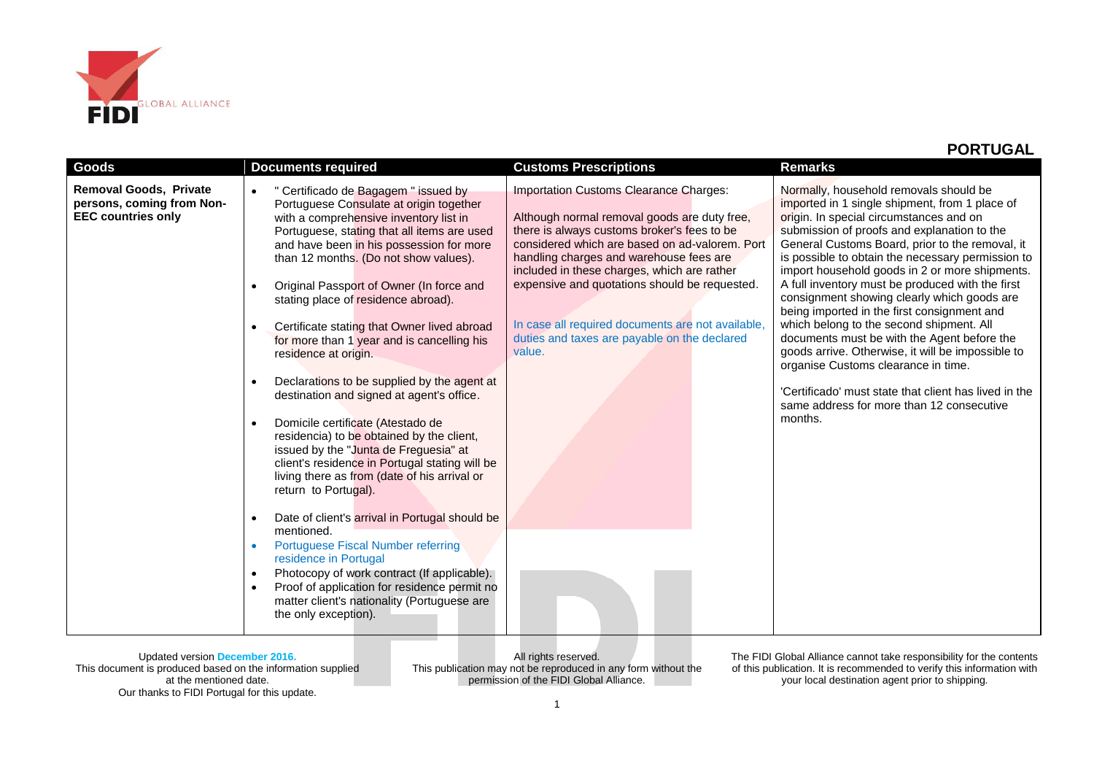

| <b>Goods</b>                                                                            | <b>Documents required</b>                                                                                                                                                                                                                                                                                                                                                                                                                                                                                                                                                                                                                                                                                                                                                                                                                                                                                                                                                                                                                                                                                                                                                                                              | <b>Customs Prescriptions</b>                                                                                                                                                                                                                                                                                                                                                                                                                      | <b>Remarks</b>                                                                                                                                                                                                                                                                                                                                                                                                                                                                                                                                                                                                                                                                                                                                                                                         |
|-----------------------------------------------------------------------------------------|------------------------------------------------------------------------------------------------------------------------------------------------------------------------------------------------------------------------------------------------------------------------------------------------------------------------------------------------------------------------------------------------------------------------------------------------------------------------------------------------------------------------------------------------------------------------------------------------------------------------------------------------------------------------------------------------------------------------------------------------------------------------------------------------------------------------------------------------------------------------------------------------------------------------------------------------------------------------------------------------------------------------------------------------------------------------------------------------------------------------------------------------------------------------------------------------------------------------|---------------------------------------------------------------------------------------------------------------------------------------------------------------------------------------------------------------------------------------------------------------------------------------------------------------------------------------------------------------------------------------------------------------------------------------------------|--------------------------------------------------------------------------------------------------------------------------------------------------------------------------------------------------------------------------------------------------------------------------------------------------------------------------------------------------------------------------------------------------------------------------------------------------------------------------------------------------------------------------------------------------------------------------------------------------------------------------------------------------------------------------------------------------------------------------------------------------------------------------------------------------------|
| <b>Removal Goods, Private</b><br>persons, coming from Non-<br><b>EEC countries only</b> | " Certificado de Bagagem " issued by<br>$\bullet$<br>Portuguese Consulate at origin together<br>with a comprehensive inventory list in<br>Portuguese, stating that all items are used<br>and have been in his possession for more<br>than 12 months. (Do not show values).<br>Original Passport of Owner (In force and<br>stating place of residence abroad).<br>Certificate stating that Owner lived abroad<br>$\bullet$<br>for more than 1 year and is cancelling his<br>residence at origin.<br>Declarations to be supplied by the agent at<br>$\bullet$<br>destination and signed at agent's office.<br>Domicile certificate (Atestado de<br>$\bullet$<br>residencia) to be obtained by the client,<br>issued by the "Junta de Freguesia" at<br>client's residence in Portugal stating will be<br>living there as from (date of his arrival or<br>return to Portugal).<br>Date of client's arrival in Portugal should be<br>$\bullet$<br>mentioned.<br>Portuguese Fiscal Number referring<br>residence in Portugal<br>Photocopy of work contract (If applicable).<br>$\bullet$<br>Proof of application for residence permit no<br>$\bullet$<br>matter client's nationality (Portuguese are<br>the only exception). | Importation Customs Clearance Charges:<br>Although normal removal goods are duty free,<br>there is always customs broker's fees to be<br>considered which are based on ad-valorem. Port<br>handling charges and warehouse fees are<br>included in these charges, which are rather<br>expensive and quotations should be requested.<br>In case all required documents are not available,<br>duties and taxes are payable on the declared<br>value. | Normally, household removals should be<br>imported in 1 single shipment, from 1 place of<br>origin. In special circumstances and on<br>submission of proofs and explanation to the<br>General Customs Board, prior to the removal, it<br>is possible to obtain the necessary permission to<br>import household goods in 2 or more shipments.<br>A full inventory must be produced with the first<br>consignment showing clearly which goods are<br>being imported in the first consignment and<br>which belong to the second shipment. All<br>documents must be with the Agent before the<br>goods arrive. Otherwise, it will be impossible to<br>organise Customs clearance in time.<br>'Certificado' must state that client has lived in the<br>same address for more than 12 consecutive<br>months. |

Updated version **December 2016.** This document is produced based on the information supplied at the mentioned date. Our thanks to FIDI Portugal for this update.

All rights reserved. This publication may not be reproduced in any form without the permission of the FIDI Global Alliance.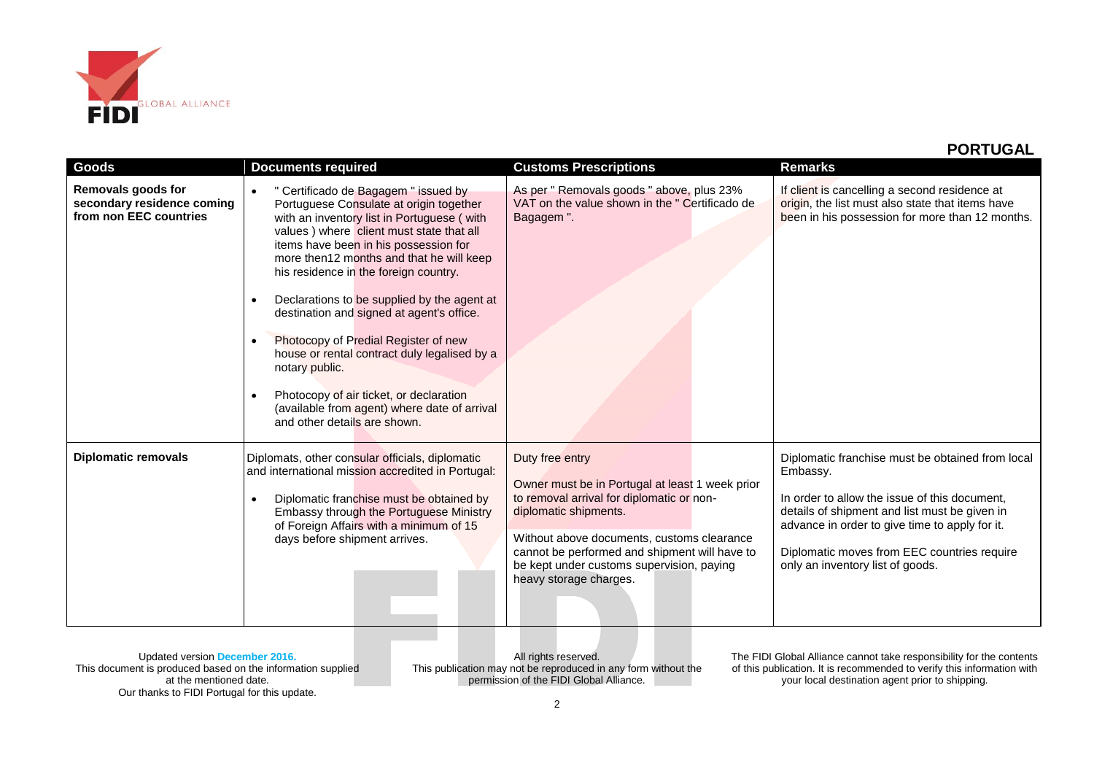

| Goods                                                                      | <b>Documents required</b>                                                                                                                                                                                                                                                                                                                                                                                                                                                                                                                                                                                                                                                                    | <b>Customs Prescriptions</b>                                                                                                                                                                                                                                                                                   | <b>Remarks</b>                                                                                                                                                                                                                                                                                      |
|----------------------------------------------------------------------------|----------------------------------------------------------------------------------------------------------------------------------------------------------------------------------------------------------------------------------------------------------------------------------------------------------------------------------------------------------------------------------------------------------------------------------------------------------------------------------------------------------------------------------------------------------------------------------------------------------------------------------------------------------------------------------------------|----------------------------------------------------------------------------------------------------------------------------------------------------------------------------------------------------------------------------------------------------------------------------------------------------------------|-----------------------------------------------------------------------------------------------------------------------------------------------------------------------------------------------------------------------------------------------------------------------------------------------------|
| Removals goods for<br>secondary residence coming<br>from non EEC countries | " Certificado de Bagagem " issued by<br>$\bullet$<br>Portuguese Consulate at origin together<br>with an inventory list in Portuguese (with<br>values) where client must state that all<br>items have been in his possession for<br>more then12 months and that he will keep<br>his residence in the foreign country.<br>Declarations to be supplied by the agent at<br>$\bullet$<br>destination and signed at agent's office.<br>Photocopy of Predial Register of new<br>$\bullet$<br>house or rental contract duly legalised by a<br>notary public.<br>Photocopy of air ticket, or declaration<br>$\bullet$<br>(available from agent) where date of arrival<br>and other details are shown. | As per " Removals goods " above, plus 23%<br>VAT on the value shown in the " Certificado de<br>Bagagem".                                                                                                                                                                                                       | If client is cancelling a second residence at<br>origin, the list must also state that items have<br>been in his possession for more than 12 months.                                                                                                                                                |
| <b>Diplomatic removals</b>                                                 | Diplomats, other consular officials, diplomatic<br>and international mission accredited in Portugal:<br>Diplomatic franchise must be obtained by<br>$\bullet$<br>Embassy through the Portuguese Ministry<br>of Foreign Affairs with a minimum of 15<br>days before shipment arrives.                                                                                                                                                                                                                                                                                                                                                                                                         | Duty free entry<br>Owner must be in Portugal at least 1 week prior<br>to removal arrival for diplomatic or non-<br>diplomatic shipments.<br>Without above documents, customs clearance<br>cannot be performed and shipment will have to<br>be kept under customs supervision, paying<br>heavy storage charges. | Diplomatic franchise must be obtained from local<br>Embassy.<br>In order to allow the issue of this document,<br>details of shipment and list must be given in<br>advance in order to give time to apply for it.<br>Diplomatic moves from EEC countries require<br>only an inventory list of goods. |

All rights reserved. This publication may not be reproduced in any form without the permission of the FIDI Global Alliance.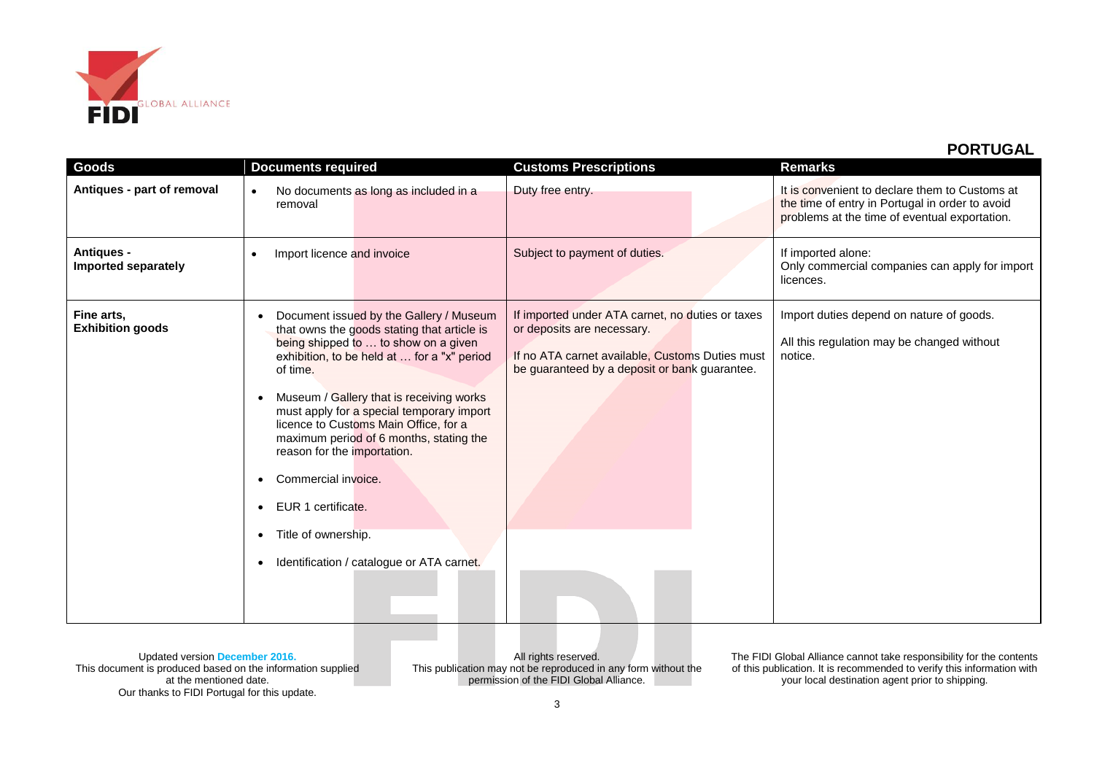

| Goods                                    | <b>Documents required</b>                                                                                                                                                                                                                                                                                                                                                                                                                                                                                              | <b>Customs Prescriptions</b>                                                                                                                                                       | <b>Remarks</b>                                                                                                                                     |
|------------------------------------------|------------------------------------------------------------------------------------------------------------------------------------------------------------------------------------------------------------------------------------------------------------------------------------------------------------------------------------------------------------------------------------------------------------------------------------------------------------------------------------------------------------------------|------------------------------------------------------------------------------------------------------------------------------------------------------------------------------------|----------------------------------------------------------------------------------------------------------------------------------------------------|
| Antiques - part of removal               | No documents as long as included in a<br>$\bullet$<br>removal                                                                                                                                                                                                                                                                                                                                                                                                                                                          | Duty free entry.                                                                                                                                                                   | It is convenient to declare them to Customs at<br>the time of entry in Portugal in order to avoid<br>problems at the time of eventual exportation. |
| <b>Antiques -</b><br>Imported separately | Import licence and invoice<br>$\bullet$                                                                                                                                                                                                                                                                                                                                                                                                                                                                                | Subject to payment of duties.                                                                                                                                                      | If imported alone:<br>Only commercial companies can apply for import<br>licences.                                                                  |
| Fine arts,<br><b>Exhibition goods</b>    | Document issued by the Gallery / Museum<br>that owns the goods stating that article is<br>being shipped to  to show on a given<br>exhibition, to be held at  for a "x" period<br>of time.<br>Museum / Gallery that is receiving works<br>must apply for a special temporary import<br>licence to Customs Main Office, for a<br>maximum period of 6 months, stating the<br>reason for the importation.<br>Commercial invoice.<br>EUR 1 certificate.<br>Title of ownership.<br>Identification / catalogue or ATA carnet. | If imported under ATA carnet, no duties or taxes<br>or deposits are necessary.<br>If no ATA carnet available, Customs Duties must<br>be guaranteed by a deposit or bank guarantee. | Import duties depend on nature of goods.<br>All this regulation may be changed without<br>notice.                                                  |

Updated version **December 2016.** This document is produced based on the information supplied at the mentioned date. Our thanks to FIDI Portugal for this update.

All rights reserved. This publication may not be reproduced in any form without the permission of the FIDI Global Alliance.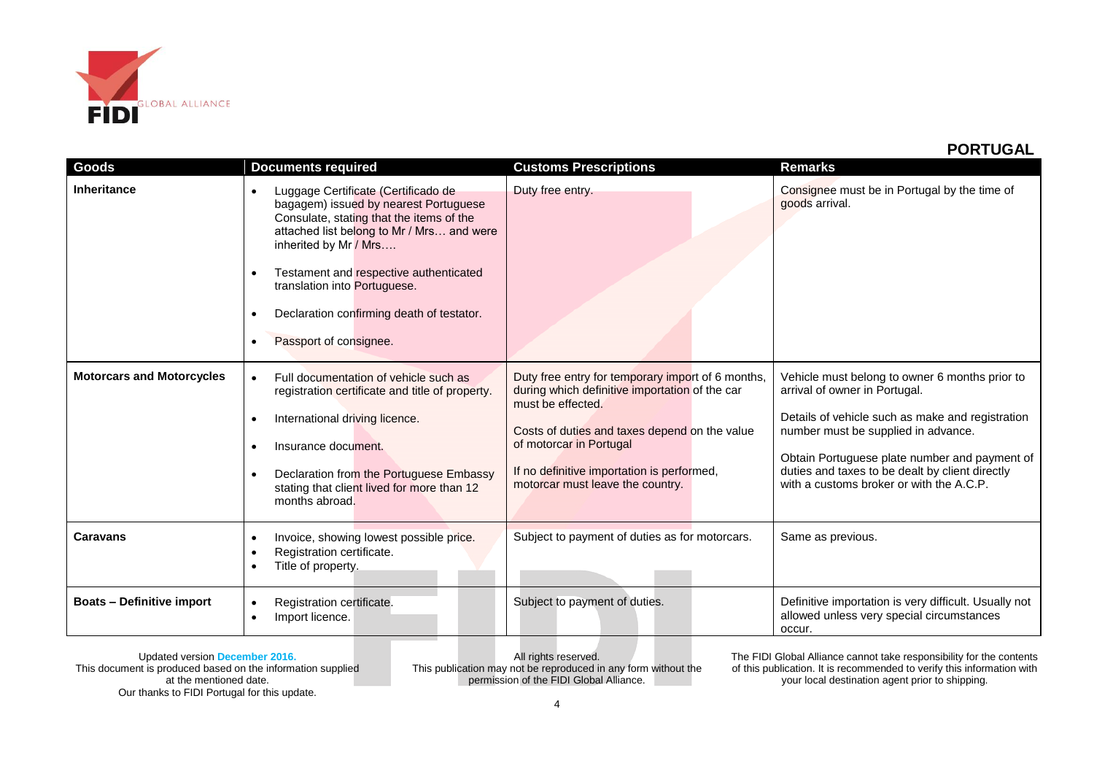

| Goods                            | <b>Documents required</b>                                                                                                                                                                                                                                                                                                                                                                           | <b>Customs Prescriptions</b>                                                                                                                                                                                                                                                           | <b>Remarks</b>                                                                                                                                                                                                                                                                                                             |
|----------------------------------|-----------------------------------------------------------------------------------------------------------------------------------------------------------------------------------------------------------------------------------------------------------------------------------------------------------------------------------------------------------------------------------------------------|----------------------------------------------------------------------------------------------------------------------------------------------------------------------------------------------------------------------------------------------------------------------------------------|----------------------------------------------------------------------------------------------------------------------------------------------------------------------------------------------------------------------------------------------------------------------------------------------------------------------------|
| Inheritance                      | Luggage Certificate (Certificado de<br>$\bullet$<br>bagagem) issued by nearest Portuguese<br>Consulate, stating that the items of the<br>attached list belong to Mr / Mrs and were<br>inherited by Mr / Mrs<br>Testament and respective authenticated<br>$\bullet$<br>translation into Portuguese.<br>Declaration confirming death of testator.<br>$\bullet$<br>Passport of consignee.<br>$\bullet$ | Duty free entry.                                                                                                                                                                                                                                                                       | Consignee must be in Portugal by the time of<br>goods arrival.                                                                                                                                                                                                                                                             |
| <b>Motorcars and Motorcycles</b> | Full documentation of vehicle such as<br>$\bullet$<br>registration certificate and title of property.<br>International driving licence.<br>٠<br>Insurance document.<br>$\bullet$<br>Declaration from the Portuguese Embassy<br>$\bullet$<br>stating that client lived for more than 12<br>months abroad.                                                                                            | Duty free entry for temporary import of 6 months,<br>during which definitive importation of the car<br>must be effected.<br>Costs of duties and taxes depend on the value<br>of motorcar in Portugal<br>If no definitive importation is performed,<br>motorcar must leave the country. | Vehicle must belong to owner 6 months prior to<br>arrival of owner in Portugal.<br>Details of vehicle such as make and registration<br>number must be supplied in advance.<br>Obtain Portuguese plate number and payment of<br>duties and taxes to be dealt by client directly<br>with a customs broker or with the A.C.P. |
| <b>Caravans</b>                  | Invoice, showing lowest possible price.<br>$\bullet$<br>Registration certificate.<br>$\bullet$<br>Title of property.<br>٠                                                                                                                                                                                                                                                                           | Subject to payment of duties as for motorcars.                                                                                                                                                                                                                                         | Same as previous.                                                                                                                                                                                                                                                                                                          |
| <b>Boats - Definitive import</b> | Registration certificate.<br>$\bullet$<br>Import licence.<br>٠                                                                                                                                                                                                                                                                                                                                      | Subject to payment of duties.                                                                                                                                                                                                                                                          | Definitive importation is very difficult. Usually not<br>allowed unless very special circumstances<br>occur.                                                                                                                                                                                                               |

Updated version **December 2016.** This document is produced based on the information supplied at the mentioned date. Our thanks to FIDI Portugal for this update.

All rights reserved. This publication may not be reproduced in any form without the permission of the FIDI Global Alliance.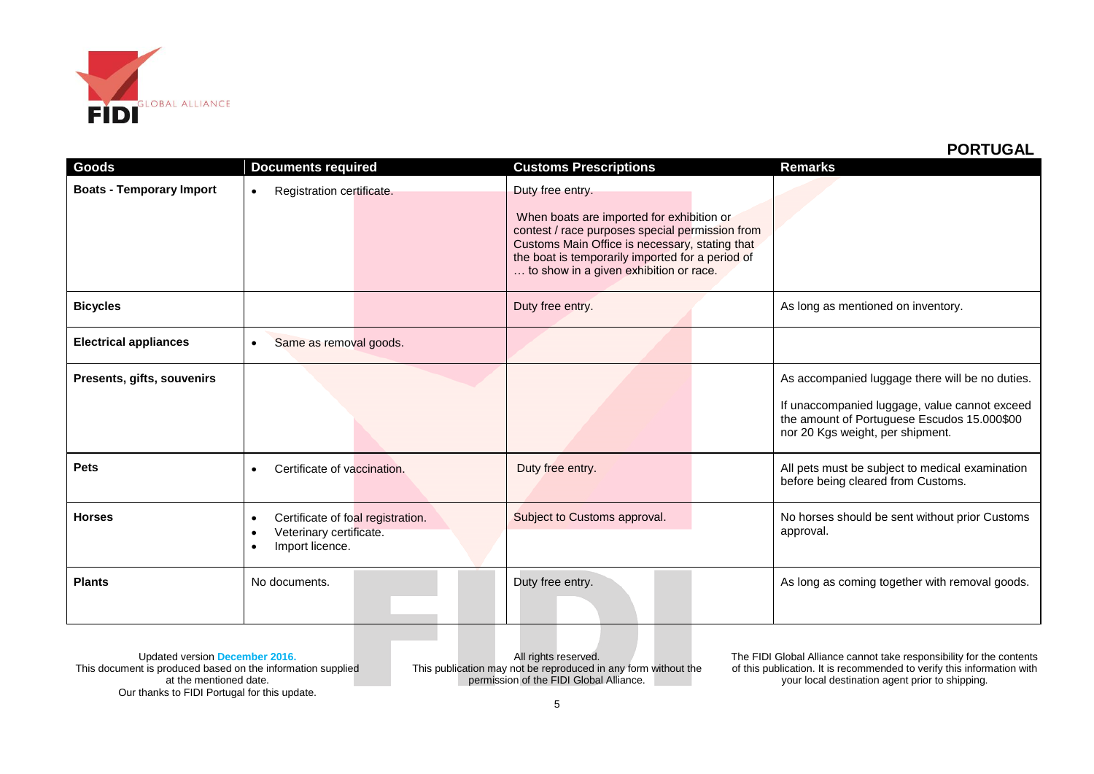

| Goods                           | <b>Documents required</b>                                                                              | <b>Customs Prescriptions</b>                                                                                                                                                                                                                                     | <b>Remarks</b>                                                                                                                                                                      |
|---------------------------------|--------------------------------------------------------------------------------------------------------|------------------------------------------------------------------------------------------------------------------------------------------------------------------------------------------------------------------------------------------------------------------|-------------------------------------------------------------------------------------------------------------------------------------------------------------------------------------|
| <b>Boats - Temporary Import</b> | Registration certificate.<br>$\bullet$                                                                 | Duty free entry.<br>When boats are imported for exhibition or<br>contest / race purposes special permission from<br>Customs Main Office is necessary, stating that<br>the boat is temporarily imported for a period of<br>to show in a given exhibition or race. |                                                                                                                                                                                     |
| <b>Bicycles</b>                 |                                                                                                        | Duty free entry.                                                                                                                                                                                                                                                 | As long as mentioned on inventory.                                                                                                                                                  |
| <b>Electrical appliances</b>    | Same as removal goods.<br>$\bullet$                                                                    |                                                                                                                                                                                                                                                                  |                                                                                                                                                                                     |
| Presents, gifts, souvenirs      |                                                                                                        |                                                                                                                                                                                                                                                                  | As accompanied luggage there will be no duties.<br>If unaccompanied luggage, value cannot exceed<br>the amount of Portuguese Escudos 15.000\$00<br>nor 20 Kgs weight, per shipment. |
| <b>Pets</b>                     | Certificate of vaccination.<br>$\bullet$                                                               | Duty free entry.                                                                                                                                                                                                                                                 | All pets must be subject to medical examination<br>before being cleared from Customs.                                                                                               |
| <b>Horses</b>                   | Certificate of foal registration.<br>٠<br>Veterinary certificate.<br>$\bullet$<br>Import licence.<br>٠ | Subject to Customs approval.                                                                                                                                                                                                                                     | No horses should be sent without prior Customs<br>approval.                                                                                                                         |
| <b>Plants</b>                   | No documents.                                                                                          | Duty free entry.                                                                                                                                                                                                                                                 | As long as coming together with removal goods.                                                                                                                                      |

Updated version **December 2016.** This document is produced based on the information supplied at the mentioned date. Our thanks to FIDI Portugal for this update.

All rights reserved. This publication may not be reproduced in any form without the permission of the FIDI Global Alliance.